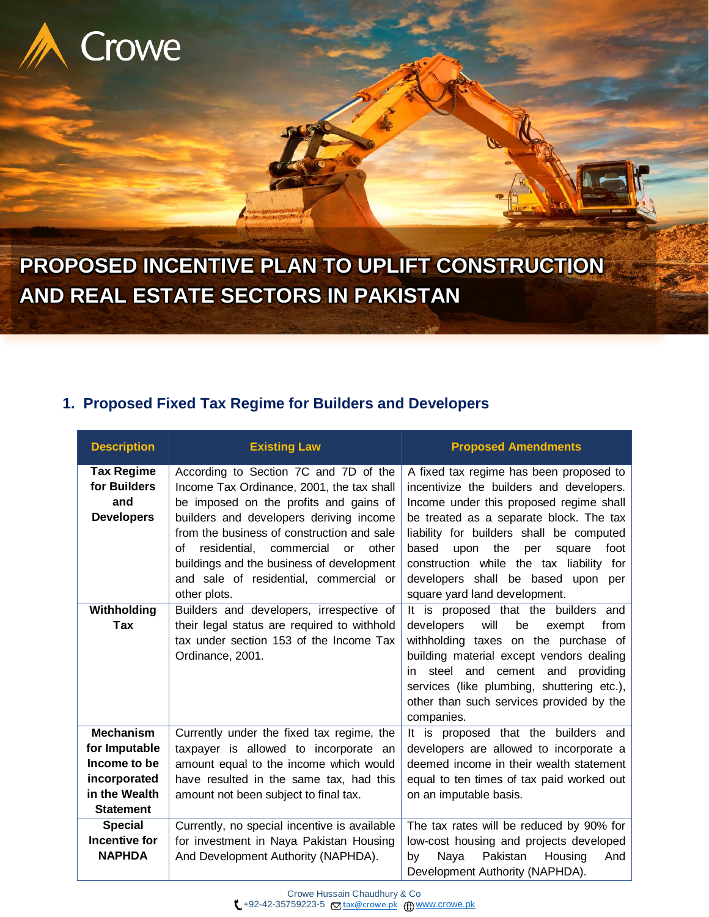

**PROPOSED INCENTIVE PLAN TO UPLIFT CONSTRUCTION AND REAL ESTATE SECTORS IN PAKISTAN**

# **1. Proposed Fixed Tax Regime for Builders and Developers**

| <b>Description</b>                                                                                     | <b>Existing Law</b>                                                                                                                                                                                                                                                                                                                                                          | <b>Proposed Amendments</b>                                                                                                                                                                                                                                                                                                                                                                   |  |
|--------------------------------------------------------------------------------------------------------|------------------------------------------------------------------------------------------------------------------------------------------------------------------------------------------------------------------------------------------------------------------------------------------------------------------------------------------------------------------------------|----------------------------------------------------------------------------------------------------------------------------------------------------------------------------------------------------------------------------------------------------------------------------------------------------------------------------------------------------------------------------------------------|--|
| <b>Tax Regime</b><br>for Builders<br>and<br><b>Developers</b>                                          | According to Section 7C and 7D of the<br>Income Tax Ordinance, 2001, the tax shall<br>be imposed on the profits and gains of<br>builders and developers deriving income<br>from the business of construction and sale<br>residential, commercial<br>Ωf<br>other<br>or<br>buildings and the business of development<br>and sale of residential, commercial or<br>other plots. | A fixed tax regime has been proposed to<br>incentivize the builders and developers.<br>Income under this proposed regime shall<br>be treated as a separate block. The tax<br>liability for builders shall be computed<br>the<br>based<br>upon<br>foot<br>per<br>square<br>construction while the tax liability for<br>developers shall be based upon<br>per<br>square yard land development. |  |
| Withholding<br>Tax                                                                                     | Builders and developers, irrespective of<br>their legal status are required to withhold<br>tax under section 153 of the Income Tax<br>Ordinance, 2001.                                                                                                                                                                                                                       | It is proposed that the builders and<br>will<br>developers<br>be<br>exempt<br>from<br>withholding taxes on the purchase of<br>building material except vendors dealing<br>steel and cement and<br>providing<br>in.<br>services (like plumbing, shuttering etc.),<br>other than such services provided by the<br>companies.                                                                   |  |
| <b>Mechanism</b><br>for Imputable<br>Income to be<br>incorporated<br>in the Wealth<br><b>Statement</b> | Currently under the fixed tax regime, the<br>taxpayer is allowed to incorporate an<br>amount equal to the income which would<br>have resulted in the same tax, had this<br>amount not been subject to final tax.                                                                                                                                                             | It is proposed that the builders and<br>developers are allowed to incorporate a<br>deemed income in their wealth statement<br>equal to ten times of tax paid worked out<br>on an imputable basis.                                                                                                                                                                                            |  |
| <b>Special</b><br><b>Incentive for</b><br><b>NAPHDA</b>                                                | Currently, no special incentive is available<br>for investment in Naya Pakistan Housing<br>And Development Authority (NAPHDA).                                                                                                                                                                                                                                               | The tax rates will be reduced by 90% for<br>low-cost housing and projects developed<br>Pakistan<br>Housing<br>And<br>Naya<br>by<br>Development Authority (NAPHDA).                                                                                                                                                                                                                           |  |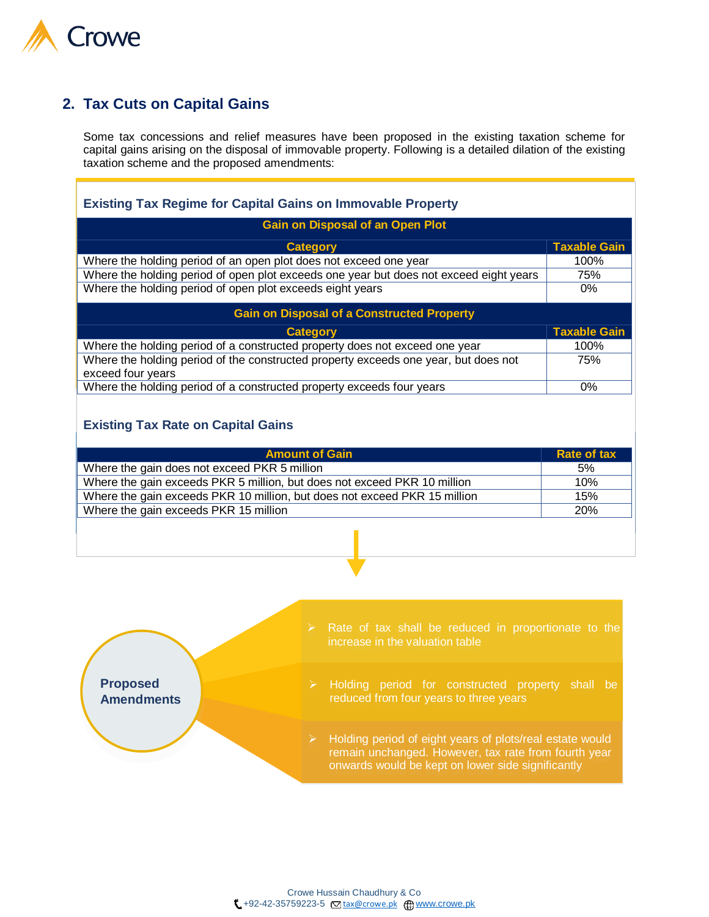

# **2. Tax Cuts on Capital Gains**

Some tax concessions and relief measures have been proposed in the existing taxation scheme for capital gains arising on the disposal of immovable property. Following is a detailed dilation of the existing taxation scheme and the proposed amendments:

| <b>Existing Tax Regime for Capital Gains on Immovable Property</b>                                       |                     |  |  |  |
|----------------------------------------------------------------------------------------------------------|---------------------|--|--|--|
| <b>Gain on Disposal of an Open Plot</b>                                                                  |                     |  |  |  |
| <b>Category</b>                                                                                          | <b>Taxable Gain</b> |  |  |  |
| Where the holding period of an open plot does not exceed one year                                        | 100%                |  |  |  |
| Where the holding period of open plot exceeds one year but does not exceed eight years                   | 75%                 |  |  |  |
| Where the holding period of open plot exceeds eight years                                                | $0\%$               |  |  |  |
| <b>Gain on Disposal of a Constructed Property</b>                                                        |                     |  |  |  |
| <b>Category</b>                                                                                          | <b>Taxable Gain</b> |  |  |  |
| Where the holding period of a constructed property does not exceed one year                              | 100%                |  |  |  |
| Where the holding period of the constructed property exceeds one year, but does not<br>exceed four years | 75%                 |  |  |  |
| Where the holding period of a constructed property exceeds four years                                    | $0\%$               |  |  |  |

#### **Existing Tax Rate on Capital Gains**

| <b>Amount of Gain</b>                                                     | Rate of tax |
|---------------------------------------------------------------------------|-------------|
| Where the gain does not exceed PKR 5 million                              | 5%          |
| Where the gain exceeds PKR 5 million, but does not exceed PKR 10 million  | 10%         |
| Where the gain exceeds PKR 10 million, but does not exceed PKR 15 million | 15%         |
| Where the gain exceeds PKR 15 million                                     | 20%         |

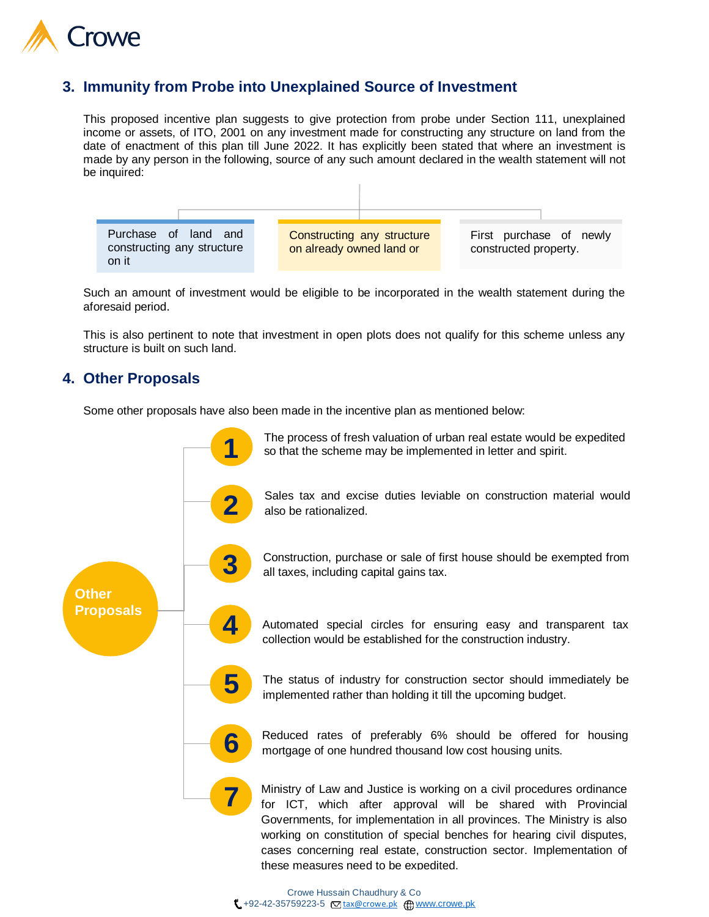

### **3. Immunity from Probe into Unexplained Source of Investment**

This proposed incentive plan suggests to give protection from probe under Section 111, unexplained income or assets, of ITO, 2001 on any investment made for constructing any structure on land from the date of enactment of this plan till June 2022. It has explicitly been stated that where an investment is made by any person in the following, source of any such amount declared in the wealth statement will not be inquired:



Such an amount of investment would be eligible to be incorporated in the wealth statement during the aforesaid period.

This is also pertinent to note that investment in open plots does not qualify for this scheme unless any structure is built on such land.

### **4. Other Proposals**

Some other proposals have also been made in the incentive plan as mentioned below:

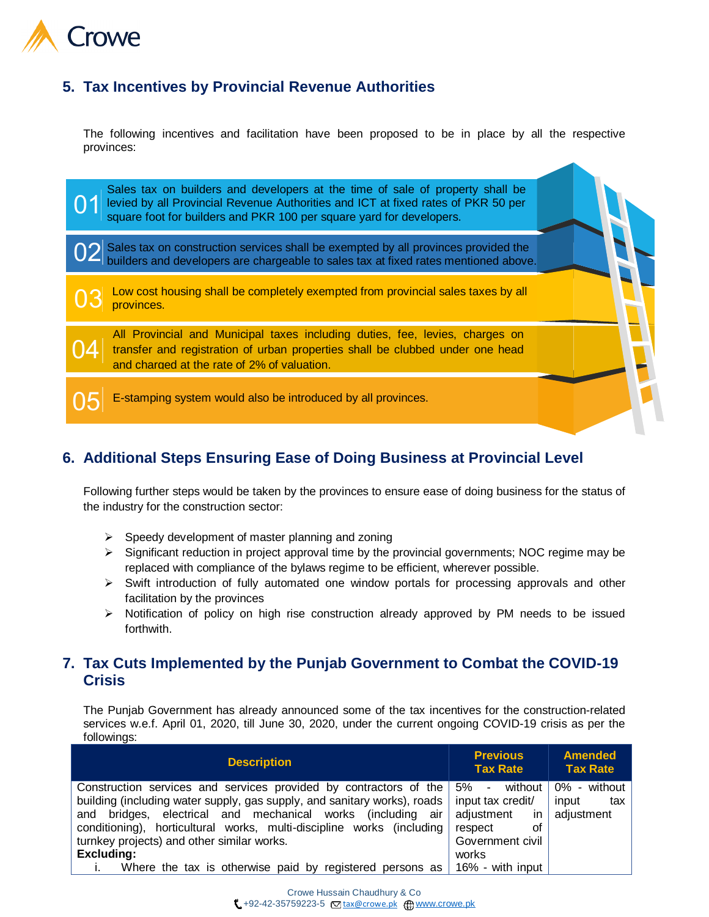

## **5. Tax Incentives by Provincial Revenue Authorities**

The following incentives and facilitation have been proposed to be in place by all the respective provinces:



# **6. Additional Steps Ensuring Ease of Doing Business at Provincial Level**

Following further steps would be taken by the provinces to ensure ease of doing business for the status of the industry for the construction sector:

- $\triangleright$  Speedy development of master planning and zoning
- $\triangleright$  Significant reduction in project approval time by the provincial governments; NOC regime may be replaced with compliance of the bylaws regime to be efficient, wherever possible.
- $\triangleright$  Swift introduction of fully automated one window portals for processing approvals and other facilitation by the provinces
- $\triangleright$  Notification of policy on high rise construction already approved by PM needs to be issued forthwith.

### **7. Tax Cuts Implemented by the Punjab Government to Combat the COVID-19 Crisis**

The Punjab Government has already announced some of the tax incentives for the construction-related services w.e.f. April 01, 2020, till June 30, 2020, under the current ongoing COVID-19 crisis as per the followings:

| <b>Description</b>                                                                  | <b>Previous</b><br><b>Tax Rate</b> | <b>Amended</b><br><b>Tax Rate</b> |
|-------------------------------------------------------------------------------------|------------------------------------|-----------------------------------|
| Construction services and services provided by contractors of the $\frac{1}{2}\%$ - | without                            | 0% - without                      |
| building (including water supply, gas supply, and sanitary works), roads            | input tax credit/                  | input<br>tax                      |
| and bridges, electrical and mechanical works (including air                         | adiustment<br>in.                  | adjustment                        |
| conditioning), horticultural works, multi-discipline works (including               | οf<br>respect                      |                                   |
| turnkey projects) and other similar works.                                          | Government civil                   |                                   |
| <b>Excluding:</b>                                                                   | works                              |                                   |
| Where the tax is otherwise paid by registered persons as $\vert$ 16% - with input   |                                    |                                   |